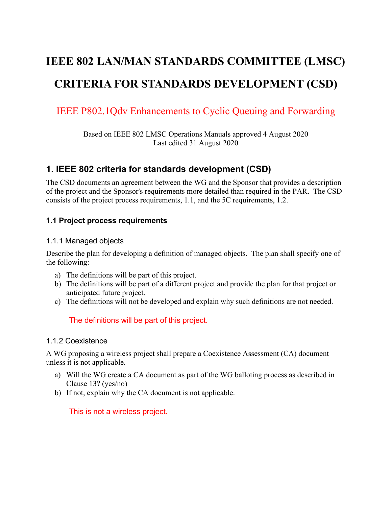# **IEEE 802 LAN/MAN STANDARDS COMMITTEE (LMSC) CRITERIA FOR STANDARDS DEVELOPMENT (CSD)**

## IEEE P802.1Qdv Enhancements to Cyclic Queuing and Forwarding

Based on IEEE 802 LMSC Operations Manuals approved 4 August 2020 Last edited 31 August 2020

### **1. IEEE 802 criteria for standards development (CSD)**

The CSD documents an agreement between the WG and the Sponsor that provides a description of the project and the Sponsor's requirements more detailed than required in the PAR. The CSD consists of the project process requirements, [1.1,](#page-0-0) and the 5C requirements, [1.2.](#page-1-0)

#### <span id="page-0-0"></span>**1.1 Project process requirements**

#### 1.1.1 Managed objects

Describe the plan for developing a definition of managed objects. The plan shall specify one of the following:

- a) The definitions will be part of this project.
- b) The definitions will be part of a different project and provide the plan for that project or anticipated future project.
- c) The definitions will not be developed and explain why such definitions are not needed.

The definitions will be part of this project.

#### 1.1.2 Coexistence

A WG proposing a wireless project shall prepare a Coexistence Assessment (CA) document unless it is not applicable.

- a) Will the WG create a CA document as part of the WG balloting process as described in Clause 13? (yes/no)
- b) If not, explain why the CA document is not applicable.

This is not a wireless project.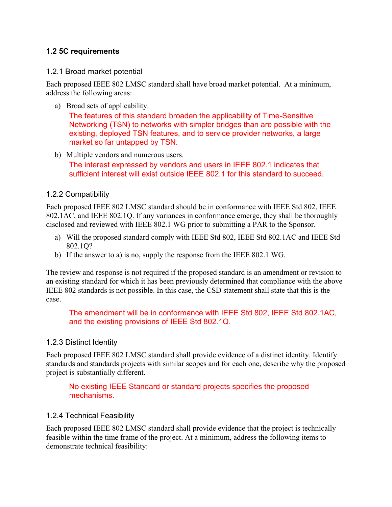#### <span id="page-1-0"></span>**1.2 5C requirements**

#### 1.2.1 Broad market potential

Each proposed IEEE 802 LMSC standard shall have broad market potential. At a minimum, address the following areas:

a) Broad sets of applicability.

The features of this standard broaden the applicability of Time-Sensitive Networking (TSN) to networks with simpler bridges than are possible with the existing, deployed TSN features, and to service provider networks, a large market so far untapped by TSN.

b) Multiple vendors and numerous users. The interest expressed by vendors and users in IEEE 802.1 indicates that sufficient interest will exist outside IEEE 802.1 for this standard to succeed.

#### 1.2.2 Compatibility

Each proposed IEEE 802 LMSC standard should be in conformance with IEEE Std 802, IEEE 802.1AC, and IEEE 802.1Q. If any variances in conformance emerge, they shall be thoroughly disclosed and reviewed with IEEE 802.1 WG prior to submitting a PAR to the Sponsor.

- a) Will the proposed standard comply with IEEE Std 802, IEEE Std 802.1AC and IEEE Std 802.1Q?
- b) If the answer to a) is no, supply the response from the IEEE 802.1 WG.

The review and response is not required if the proposed standard is an amendment or revision to an existing standard for which it has been previously determined that compliance with the above IEEE 802 standards is not possible. In this case, the CSD statement shall state that this is the case.

The amendment will be in conformance with IEEE Std 802, IEEE Std 802.1AC, and the existing provisions of IEEE Std 802.1Q.

#### 1.2.3 Distinct Identity

Each proposed IEEE 802 LMSC standard shall provide evidence of a distinct identity. Identify standards and standards projects with similar scopes and for each one, describe why the proposed project is substantially different.

No existing IEEE Standard or standard projects specifies the proposed mechanisms.

#### 1.2.4 Technical Feasibility

Each proposed IEEE 802 LMSC standard shall provide evidence that the project is technically feasible within the time frame of the project. At a minimum, address the following items to demonstrate technical feasibility: